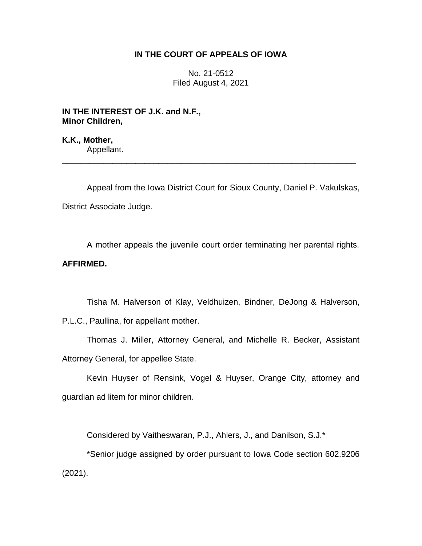# **IN THE COURT OF APPEALS OF IOWA**

No. 21-0512 Filed August 4, 2021

**IN THE INTEREST OF J.K. and N.F., Minor Children,**

**K.K., Mother,** Appellant.

Appeal from the Iowa District Court for Sioux County, Daniel P. Vakulskas, District Associate Judge.

\_\_\_\_\_\_\_\_\_\_\_\_\_\_\_\_\_\_\_\_\_\_\_\_\_\_\_\_\_\_\_\_\_\_\_\_\_\_\_\_\_\_\_\_\_\_\_\_\_\_\_\_\_\_\_\_\_\_\_\_\_\_\_\_

A mother appeals the juvenile court order terminating her parental rights. **AFFIRMED.**

Tisha M. Halverson of Klay, Veldhuizen, Bindner, DeJong & Halverson,

P.L.C., Paullina, for appellant mother.

Thomas J. Miller, Attorney General, and Michelle R. Becker, Assistant Attorney General, for appellee State.

Kevin Huyser of Rensink, Vogel & Huyser, Orange City, attorney and guardian ad litem for minor children.

Considered by Vaitheswaran, P.J., Ahlers, J., and Danilson, S.J.\*

\*Senior judge assigned by order pursuant to Iowa Code section 602.9206 (2021).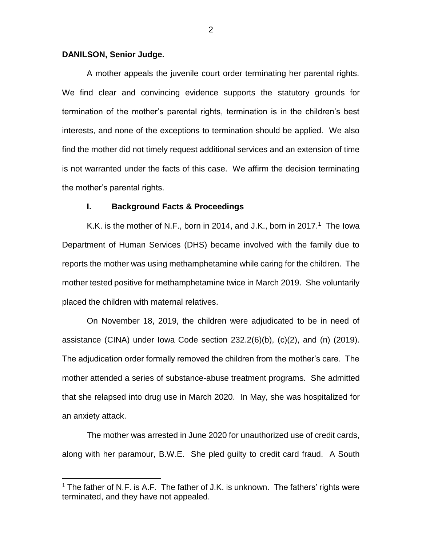#### **DANILSON, Senior Judge.**

 $\overline{a}$ 

A mother appeals the juvenile court order terminating her parental rights. We find clear and convincing evidence supports the statutory grounds for termination of the mother's parental rights, termination is in the children's best interests, and none of the exceptions to termination should be applied. We also find the mother did not timely request additional services and an extension of time is not warranted under the facts of this case. We affirm the decision terminating the mother's parental rights.

#### **I. Background Facts & Proceedings**

K.K. is the mother of N.F., born in 2014, and J.K., born in 2017.<sup>1</sup> The lowa Department of Human Services (DHS) became involved with the family due to reports the mother was using methamphetamine while caring for the children. The mother tested positive for methamphetamine twice in March 2019. She voluntarily placed the children with maternal relatives.

On November 18, 2019, the children were adjudicated to be in need of assistance (CINA) under Iowa Code section 232.2(6)(b), (c)(2), and (n) (2019). The adjudication order formally removed the children from the mother's care. The mother attended a series of substance-abuse treatment programs. She admitted that she relapsed into drug use in March 2020. In May, she was hospitalized for an anxiety attack.

The mother was arrested in June 2020 for unauthorized use of credit cards, along with her paramour, B.W.E. She pled guilty to credit card fraud. A South

 $1$  The father of N.F. is A.F. The father of J.K. is unknown. The fathers' rights were terminated, and they have not appealed.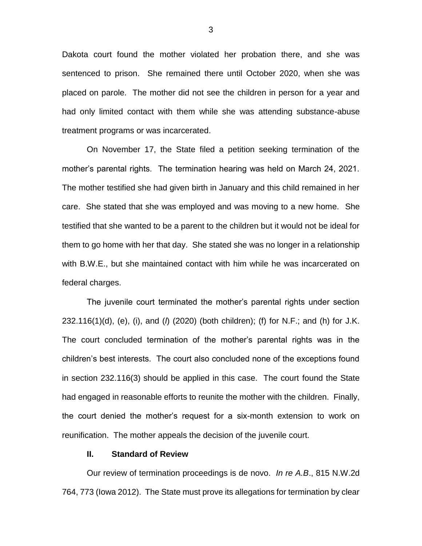Dakota court found the mother violated her probation there, and she was sentenced to prison. She remained there until October 2020, when she was placed on parole. The mother did not see the children in person for a year and had only limited contact with them while she was attending substance-abuse treatment programs or was incarcerated.

On November 17, the State filed a petition seeking termination of the mother's parental rights. The termination hearing was held on March 24, 2021. The mother testified she had given birth in January and this child remained in her care. She stated that she was employed and was moving to a new home. She testified that she wanted to be a parent to the children but it would not be ideal for them to go home with her that day. She stated she was no longer in a relationship with B.W.E., but she maintained contact with him while he was incarcerated on federal charges.

The juvenile court terminated the mother's parental rights under section 232.116(1)(d), (e), (i), and (*l*) (2020) (both children); (f) for N.F.; and (h) for J.K. The court concluded termination of the mother's parental rights was in the children's best interests. The court also concluded none of the exceptions found in section 232.116(3) should be applied in this case. The court found the State had engaged in reasonable efforts to reunite the mother with the children. Finally, the court denied the mother's request for a six-month extension to work on reunification. The mother appeals the decision of the juvenile court.

### **II. Standard of Review**

Our review of termination proceedings is de novo. *In re A.B*., 815 N.W.2d 764, 773 (Iowa 2012). The State must prove its allegations for termination by clear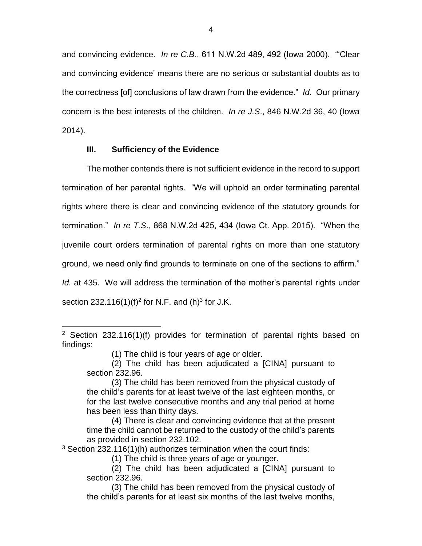and convincing evidence. *In re C.B*., 611 N.W.2d 489, 492 (Iowa 2000). "'Clear and convincing evidence' means there are no serious or substantial doubts as to the correctness [of] conclusions of law drawn from the evidence." *Id.* Our primary concern is the best interests of the children. *In re J.S*., 846 N.W.2d 36, 40 (Iowa 2014).

# **III. Sufficiency of the Evidence**

 $\overline{a}$ 

The mother contends there is not sufficient evidence in the record to support termination of her parental rights. "We will uphold an order terminating parental rights where there is clear and convincing evidence of the statutory grounds for termination." *In re T.S*., 868 N.W.2d 425, 434 (Iowa Ct. App. 2015). "When the juvenile court orders termination of parental rights on more than one statutory ground, we need only find grounds to terminate on one of the sections to affirm." *Id.* at 435. We will address the termination of the mother's parental rights under section 232.116(1)(f)<sup>2</sup> for N.F. and (h)<sup>3</sup> for J.K.

<sup>3</sup> Section 232.116(1)(h) authorizes termination when the court finds:

<sup>&</sup>lt;sup>2</sup> Section 232.116(1)(f) provides for termination of parental rights based on findings:

<sup>(1)</sup> The child is four years of age or older.

<sup>(2)</sup> The child has been adjudicated a [CINA] pursuant to section 232.96.

<sup>(3)</sup> The child has been removed from the physical custody of the child's parents for at least twelve of the last eighteen months, or for the last twelve consecutive months and any trial period at home has been less than thirty days.

<sup>(4)</sup> There is clear and convincing evidence that at the present time the child cannot be returned to the custody of the child's parents as provided in section 232.102.

<sup>(1)</sup> The child is three years of age or younger.

<sup>(2)</sup> The child has been adjudicated a [CINA] pursuant to section 232.96.

<sup>(3)</sup> The child has been removed from the physical custody of the child's parents for at least six months of the last twelve months,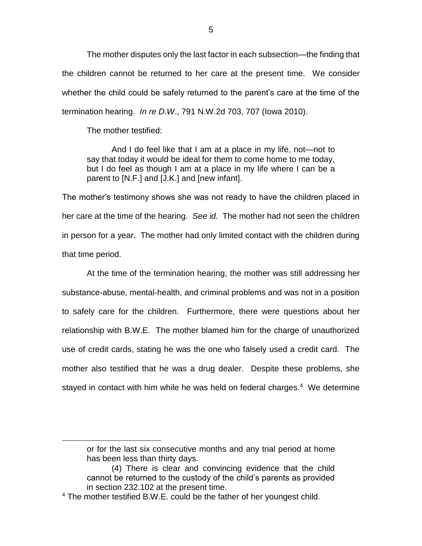The mother disputes only the last factor in each subsection—the finding that the children cannot be returned to her care at the present time. We consider whether the child could be safely returned to the parent's care at the time of the termination hearing. *In re D.W*., 791 N.W.2d 703, 707 (Iowa 2010).

The mother testified:

 $\overline{a}$ 

And I do feel like that I am at a place in my life, not—not to say that today it would be ideal for them to come home to me today, but I do feel as though I am at a place in my life where I can be a parent to [N.F.] and [J.K.] and [new infant].

The mother's testimony shows she was not ready to have the children placed in her care at the time of the hearing. *See id.* The mother had not seen the children in person for a year. The mother had only limited contact with the children during that time period.

At the time of the termination hearing, the mother was still addressing her substance-abuse, mental-health, and criminal problems and was not in a position to safely care for the children. Furthermore, there were questions about her relationship with B.W.E. The mother blamed him for the charge of unauthorized use of credit cards, stating he was the one who falsely used a credit card. The mother also testified that he was a drug dealer. Despite these problems, she stayed in contact with him while he was held on federal charges.<sup>4</sup> We determine

or for the last six consecutive months and any trial period at home has been less than thirty days.

<sup>(4)</sup> There is clear and convincing evidence that the child cannot be returned to the custody of the child's parents as provided in section 232.102 at the present time.

<sup>&</sup>lt;sup>4</sup> The mother testified B.W.E. could be the father of her youngest child.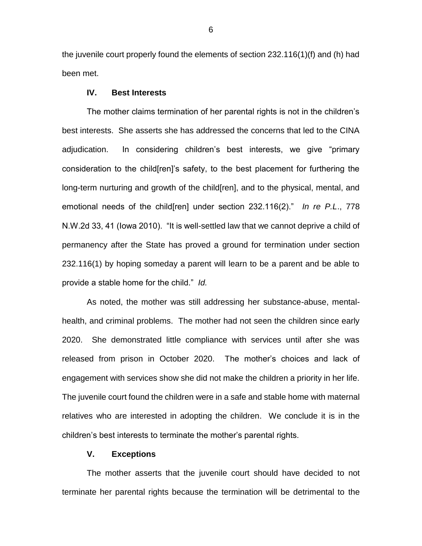the juvenile court properly found the elements of section 232.116(1)(f) and (h) had been met.

## **IV. Best Interests**

The mother claims termination of her parental rights is not in the children's best interests. She asserts she has addressed the concerns that led to the CINA adjudication. In considering children's best interests, we give "primary consideration to the child[ren]'s safety, to the best placement for furthering the long-term nurturing and growth of the child[ren], and to the physical, mental, and emotional needs of the child[ren] under section 232.116(2)." *In re P.L*., 778 N.W.2d 33, 41 (Iowa 2010). "It is well-settled law that we cannot deprive a child of permanency after the State has proved a ground for termination under section 232.116(1) by hoping someday a parent will learn to be a parent and be able to provide a stable home for the child." *Id.*

As noted, the mother was still addressing her substance-abuse, mentalhealth, and criminal problems. The mother had not seen the children since early 2020. She demonstrated little compliance with services until after she was released from prison in October 2020. The mother's choices and lack of engagement with services show she did not make the children a priority in her life. The juvenile court found the children were in a safe and stable home with maternal relatives who are interested in adopting the children. We conclude it is in the children's best interests to terminate the mother's parental rights.

# **V. Exceptions**

The mother asserts that the juvenile court should have decided to not terminate her parental rights because the termination will be detrimental to the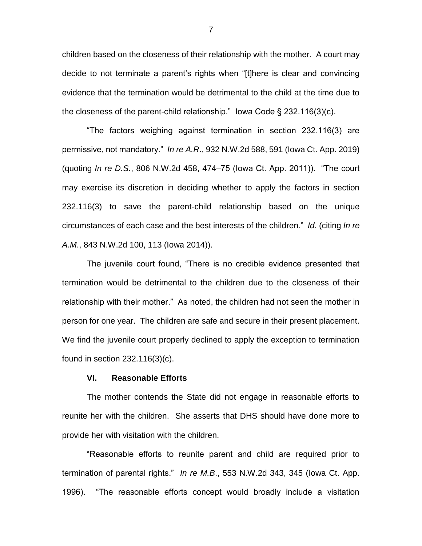children based on the closeness of their relationship with the mother. A court may decide to not terminate a parent's rights when "[t]here is clear and convincing evidence that the termination would be detrimental to the child at the time due to the closeness of the parent-child relationship." Iowa Code § 232.116(3)(c).

"The factors weighing against termination in section 232.116(3) are permissive, not mandatory." *In re A.R*., 932 N.W.2d 588, 591 (Iowa Ct. App. 2019) (quoting *In re D.S.*, 806 N.W.2d 458, 474–75 (Iowa Ct. App. 2011)). "The court may exercise its discretion in deciding whether to apply the factors in section 232.116(3) to save the parent-child relationship based on the unique circumstances of each case and the best interests of the children." *Id.* (citing *In re A.M*., 843 N.W.2d 100, 113 (Iowa 2014)).

The juvenile court found, "There is no credible evidence presented that termination would be detrimental to the children due to the closeness of their relationship with their mother." As noted, the children had not seen the mother in person for one year. The children are safe and secure in their present placement. We find the juvenile court properly declined to apply the exception to termination found in section 232.116(3)(c).

## **VI. Reasonable Efforts**

The mother contends the State did not engage in reasonable efforts to reunite her with the children. She asserts that DHS should have done more to provide her with visitation with the children.

"Reasonable efforts to reunite parent and child are required prior to termination of parental rights." *In re M.B*., 553 N.W.2d 343, 345 (Iowa Ct. App. 1996). "The reasonable efforts concept would broadly include a visitation

7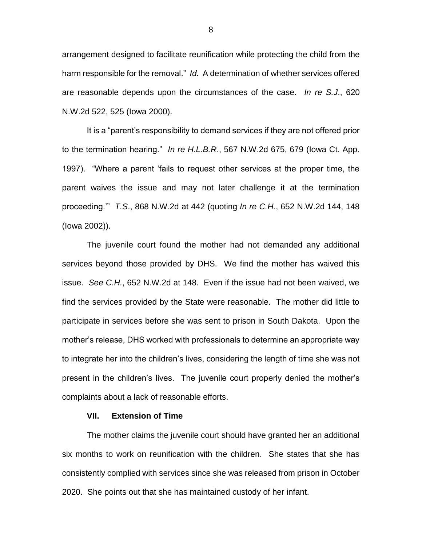arrangement designed to facilitate reunification while protecting the child from the harm responsible for the removal." *Id.* A determination of whether services offered are reasonable depends upon the circumstances of the case. *In re S.J*., 620 N.W.2d 522, 525 (Iowa 2000).

It is a "parent's responsibility to demand services if they are not offered prior to the termination hearing." *In re H.L.B.R*., 567 N.W.2d 675, 679 (Iowa Ct. App. 1997). "Where a parent 'fails to request other services at the proper time, the parent waives the issue and may not later challenge it at the termination proceeding.'" *T.S*., 868 N.W.2d at 442 (quoting *In re C.H.*, 652 N.W.2d 144, 148 (Iowa 2002)).

The juvenile court found the mother had not demanded any additional services beyond those provided by DHS. We find the mother has waived this issue. *See C.H.*, 652 N.W.2d at 148. Even if the issue had not been waived, we find the services provided by the State were reasonable. The mother did little to participate in services before she was sent to prison in South Dakota. Upon the mother's release, DHS worked with professionals to determine an appropriate way to integrate her into the children's lives, considering the length of time she was not present in the children's lives. The juvenile court properly denied the mother's complaints about a lack of reasonable efforts.

#### **VII. Extension of Time**

The mother claims the juvenile court should have granted her an additional six months to work on reunification with the children. She states that she has consistently complied with services since she was released from prison in October 2020. She points out that she has maintained custody of her infant.